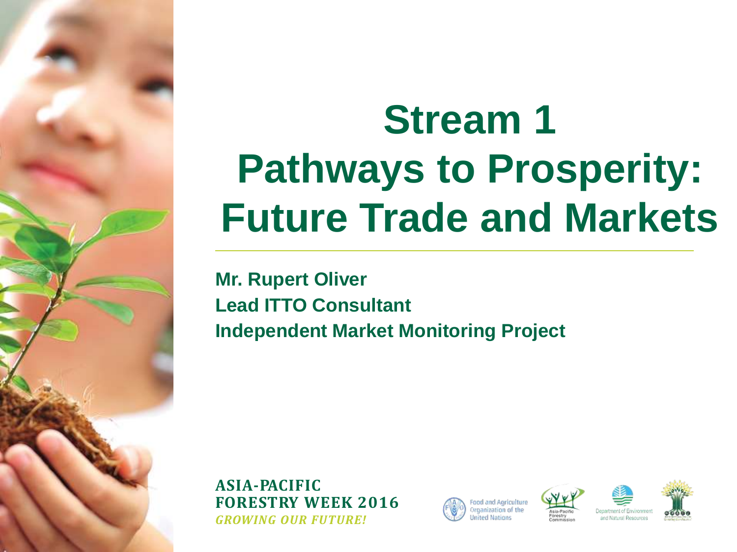## **Stream 1 Pathways to Prosperity: Future Trade and Markets**

**Mr. Rupert Oliver Lead ITTO Consultant Independent Market Monitoring Project**







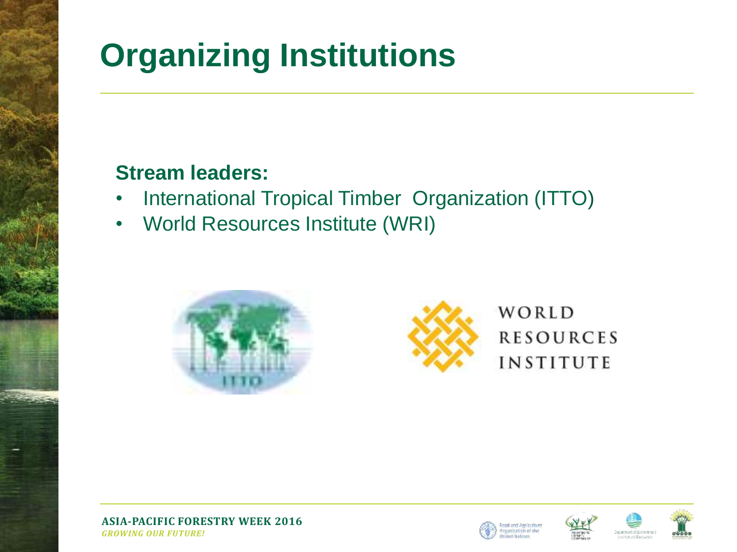#### **Organizing Institutions**

#### **Stream leaders:**

- International Tropical Timber Organization (ITTO)
- World Resources Institute (WRI)







**ASIA-PACIFIC FORESTRY WEEK 2016** *GROWING OUR FUTURE!*

d and Anciculture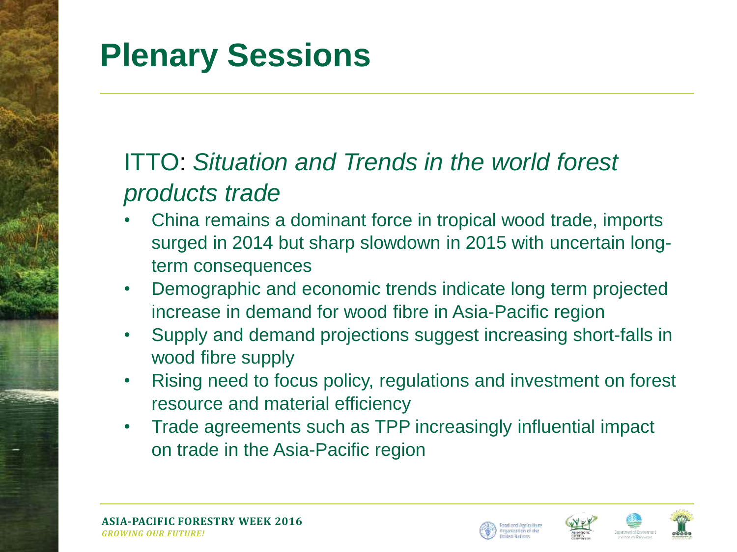## **Plenary Sessions**

#### ITTO: *Situation and Trends in the world forest products trade*

- China remains a dominant force in tropical wood trade, imports surged in 2014 but sharp slowdown in 2015 with uncertain longterm consequences
- Demographic and economic trends indicate long term projected increase in demand for wood fibre in Asia-Pacific region
- Supply and demand projections suggest increasing short-falls in wood fibre supply
- Rising need to focus policy, regulations and investment on forest resource and material efficiency
- Trade agreements such as TPP increasingly influential impact on trade in the Asia-Pacific region





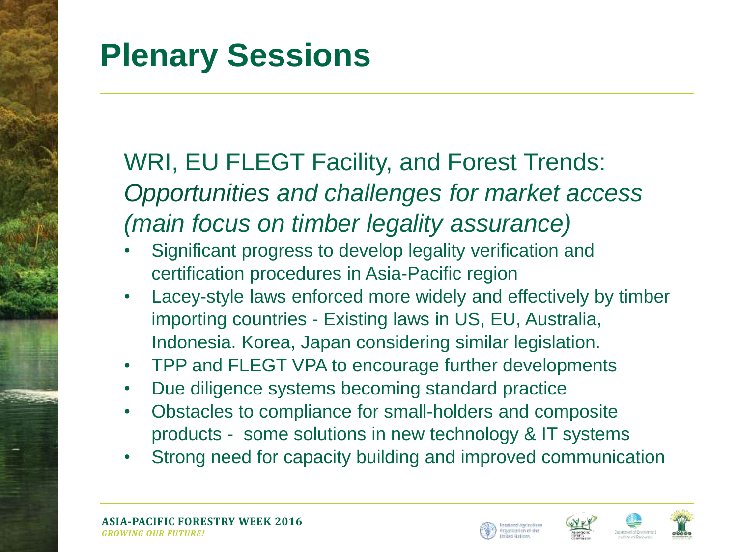### **Plenary Sessions**

#### WRI, EU FLEGT Facility, and Forest Trends: *Opportunities and challenges for market access (main focus on timber legality assurance)*

- Significant progress to develop legality verification and certification procedures in Asia-Pacific region
- Lacey-style laws enforced more widely and effectively by timber importing countries - Existing laws in US, EU, Australia, Indonesia. Korea, Japan considering similar legislation.
- TPP and FLEGT VPA to encourage further developments
- Due diligence systems becoming standard practice
- Obstacles to compliance for small-holders and composite products - some solutions in new technology & IT systems
- Strong need for capacity building and improved communication



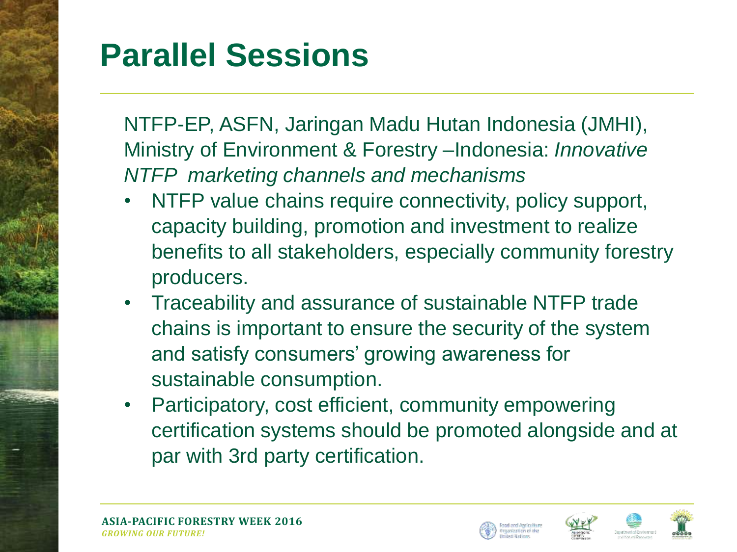#### **Parallel Sessions**

NTFP-EP, ASFN, Jaringan Madu Hutan Indonesia (JMHI), Ministry of Environment & Forestry –Indonesia: *Innovative NTFP marketing channels and mechanisms*

- NTFP value chains require connectivity, policy support, capacity building, promotion and investment to realize benefits to all stakeholders, especially community forestry producers.
- Traceability and assurance of sustainable NTFP trade chains is important to ensure the security of the system and satisfy consumers' growing awareness for sustainable consumption.
- Participatory, cost efficient, community empowering certification systems should be promoted alongside and at par with 3rd party certification.





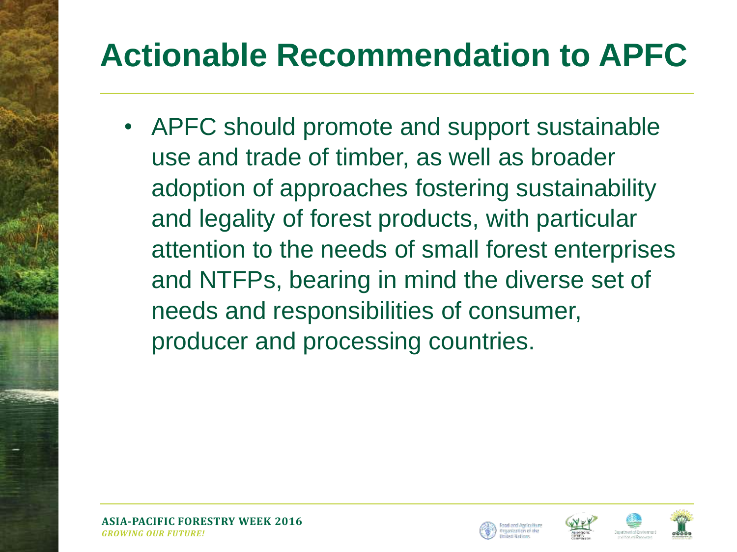## **Actionable Recommendation to APFC**

• APFC should promote and support sustainable use and trade of timber, as well as broader adoption of approaches fostering sustainability and legality of forest products, with particular attention to the needs of small forest enterprises and NTFPs, bearing in mind the diverse set of needs and responsibilities of consumer, producer and processing countries.